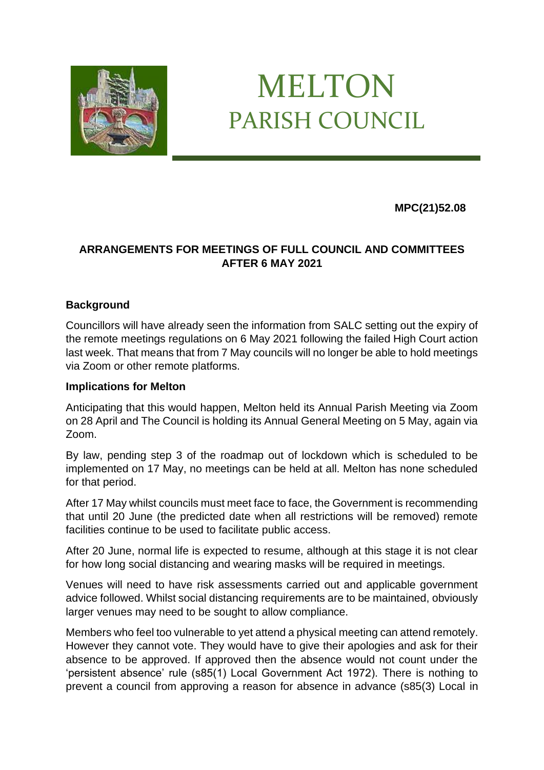

# MELTON PARISH COUNCIL

# **MPC(21)52.08**

## **ARRANGEMENTS FOR MEETINGS OF FULL COUNCIL AND COMMITTEES AFTER 6 MAY 2021**

### **Background**

Councillors will have already seen the information from SALC setting out the expiry of the remote meetings regulations on 6 May 2021 following the failed High Court action last week. That means that from 7 May councils will no longer be able to hold meetings via Zoom or other remote platforms.

#### **Implications for Melton**

Anticipating that this would happen, Melton held its Annual Parish Meeting via Zoom on 28 April and The Council is holding its Annual General Meeting on 5 May, again via Zoom.

By law, pending step 3 of the roadmap out of lockdown which is scheduled to be implemented on 17 May, no meetings can be held at all. Melton has none scheduled for that period.

After 17 May whilst councils must meet face to face, the Government is recommending that until 20 June (the predicted date when all restrictions will be removed) remote facilities continue to be used to facilitate public access.

After 20 June, normal life is expected to resume, although at this stage it is not clear for how long social distancing and wearing masks will be required in meetings.

Venues will need to have risk assessments carried out and applicable government advice followed. Whilst social distancing requirements are to be maintained, obviously larger venues may need to be sought to allow compliance.

Members who feel too vulnerable to yet attend a physical meeting can attend remotely. However they cannot vote. They would have to give their apologies and ask for their absence to be approved. If approved then the absence would not count under the 'persistent absence' rule (s85(1) Local Government Act 1972). There is nothing to prevent a council from approving a reason for absence in advance (s85(3) Local in